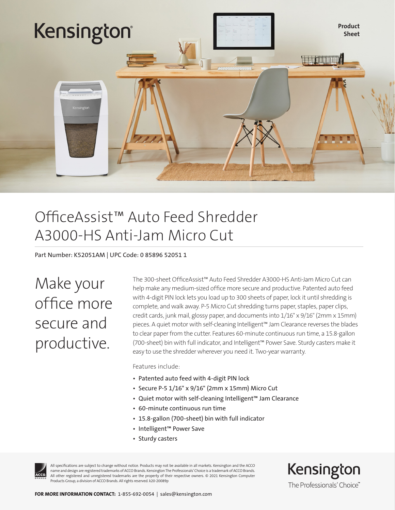

### OfficeAssist™ Auto Feed Shredder A3000-HS Anti-Jam Micro Cut

Part Number: K52051AM | UPC Code: 0 85896 52051 1

Make your office more secure and productive.

The 300-sheet OfficeAssist™ Auto Feed Shredder A3000-HS Anti-Jam Micro Cut can help make any medium-sized office more secure and productive. Patented auto feed with 4-digit PIN lock lets you load up to 300 sheets of paper, lock it until shredding is complete, and walk away. P-5 Micro Cut shredding turns paper, staples, paper clips, credit cards, junk mail, glossy paper, and documents into 1/16" x 9/16" (2mm x 15mm) pieces. A quiet motor with self-cleaning Intelligent™ Jam Clearance reverses the blades to clear paper from the cutter. Features 60-minute continuous run time, a 15.8-gallon (700-sheet) bin with full indicator, and Intelligent™ Power Save. Sturdy casters make it easy to use the shredder wherever you need it. Two-year warranty.

Features include:

- Patented auto feed with 4-digit PIN lock
- Secure P-5 1/16" x 9/16" (2mm x 15mm) Micro Cut
- Quiet motor with self-cleaning Intelligent™ Jam Clearance
- 60-minute continuous run time
- 15.8-gallon (700-sheet) bin with full indicator
- Intelligent™ Power Save
- Sturdy casters



All specifications are subject to change without notice. Products may not be available in all markets. Kensington and the ACCO name and design are registered trademarks of ACCO Brands. Kensington The Professionals' Choice is a trademark of ACCO Brands. All other registered and unregistered trademarks are the property of their respective owners. © 2021 Kensington Computer Products Group, a division of ACCO Brands. All rights reserved. k20-20089p

Kensington The Professionals' Choice"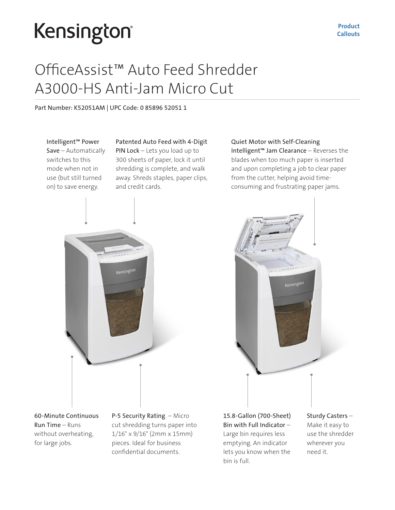# Kensington®

### OfficeAssist™ Auto Feed Shredder A3000-HS Anti-Jam Micro Cut

Part Number: K52051AM | UPC Code: 0 85896 52051 1

Intelligent™ Power Save – Automatically switches to this mode when not in use (but still turned on) to save energy.

### Patented Auto Feed with 4-Digit

PIN Lock – Lets you load up to 300 sheets of paper, lock it until shredding is complete, and walk away. Shreds staples, paper clips, and credit cards.

Quiet Motor with Self-Cleaning Intelligent™ Jam Clearance – Reverses the blades when too much paper is inserted and upon completing a job to clear paper from the cutter, helping avoid timeconsuming and frustrating paper jams.

Kensington



60-Minute Continuous Run Time – Runs without overheating, for large jobs.

P-5 Security Rating – Micro cut shredding turns paper into 1/16" x 9/16" (2mm x 15mm) pieces. Ideal for business confidential documents.

15.8-Gallon (700-Sheet) Bin with Full Indicator – Large bin requires less emptying. An indicator lets you know when the bin is full.

Sturdy Casters – Make it easy to use the shredder wherever you need it.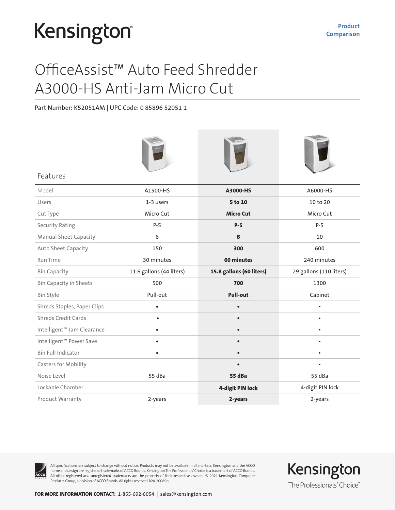## Kensington®

### OfficeAssist™ Auto Feed Shredder A3000-HS Anti-Jam Micro Cut

Part Number: K52051AM | UPC Code: 0 85896 52051 1

| Features                      |                          |                          |                         |
|-------------------------------|--------------------------|--------------------------|-------------------------|
| Model                         | A1500-HS                 | A3000-HS                 | A6000-HS                |
| Users                         | 1-3 users                | 5 to 10                  | 10 to 20                |
| Cut Type                      | Micro Cut                | <b>Micro Cut</b>         | Micro Cut               |
| <b>Security Rating</b>        | $P-5$                    | $P-5$                    | $P-5$                   |
| <b>Manual Sheet Capacity</b>  | 6                        | 8                        | 10                      |
| Auto Sheet Capacity           | 150                      | 300                      | 600                     |
| Run Time                      | 30 minutes               | 60 minutes               | 240 minutes             |
| <b>Bin Capacity</b>           | 11.6 gallons (44 liters) | 15.8 gallons (60 liters) | 29 gallons (110 liters) |
| <b>Bin Capacity in Sheets</b> | 500                      | 700                      | 1300                    |
| Bin Style                     | Pull-out                 | <b>Pull-out</b>          | Cabinet                 |
| Shreds Staples, Paper Clips   | $\bullet$                | $\bullet$                | $\bullet$               |
| <b>Shreds Credit Cards</b>    | $\bullet$                | $\bullet$                | $\bullet$               |
| Intelligent™ Jam Clearance    | $\bullet$                | $\bullet$                | $\bullet$               |
| Intelligent™ Power Save       | $\bullet$                |                          |                         |
| <b>Bin Full Indicator</b>     | $\bullet$                | $\bullet$                | $\bullet$               |
| <b>Casters for Mobility</b>   |                          |                          | $\bullet$               |
| Noise Level                   | 55 dBa                   | 55 dBa                   | 55 dBa                  |
| Lockable Chamber              |                          | 4-digit PIN lock         | 4-digit PIN lock        |
| Product Warranty              | 2-years                  | 2-years                  | 2-years                 |



All specifications are subject to change without notice. Products may not be available in all markets. Kensington and the ACCO name and design are registered trademarks of ACCO Brands. Kensington The Professionals' Choice is a trademark of ACCO Brands. All other registered and unregistered trademarks are the property of their respective owners. © 2021 Kensington Computer Products Group, a division of ACCO Brands. All rights reserved. k20-20089p

Kensington The Professionals' Choice"